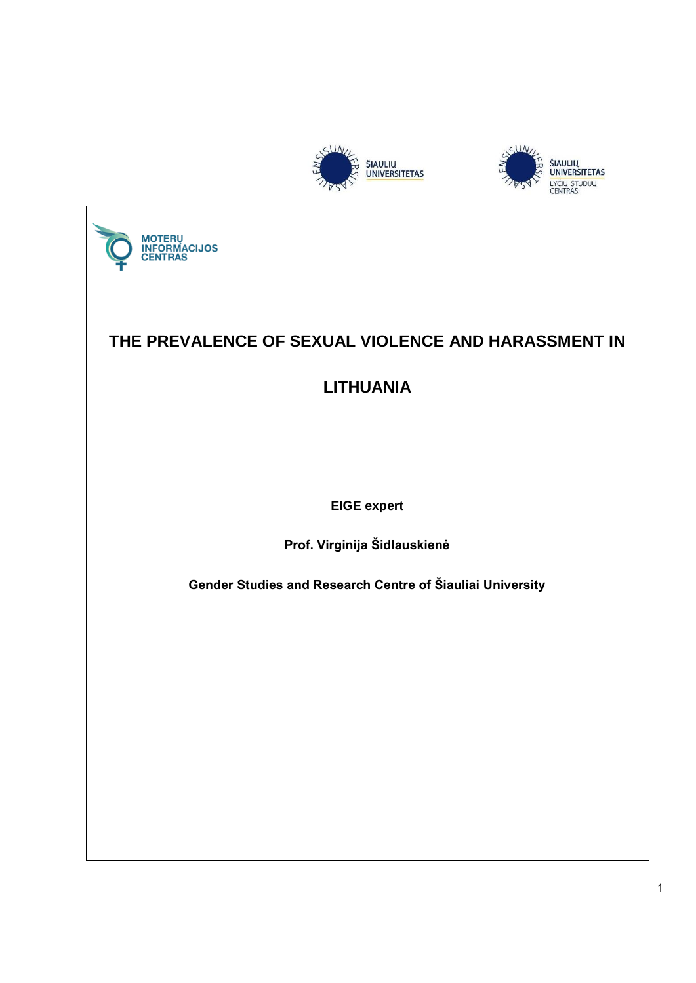





# **THE PREVALENCE OF SEXUAL VIOLENCE AND HARASSMENT IN**

**LITHUANIA**

**EIGE expert**

**Prof. Virginija Šidlauskienė**

**Gender Studies and Research Centre of Šiauliai University**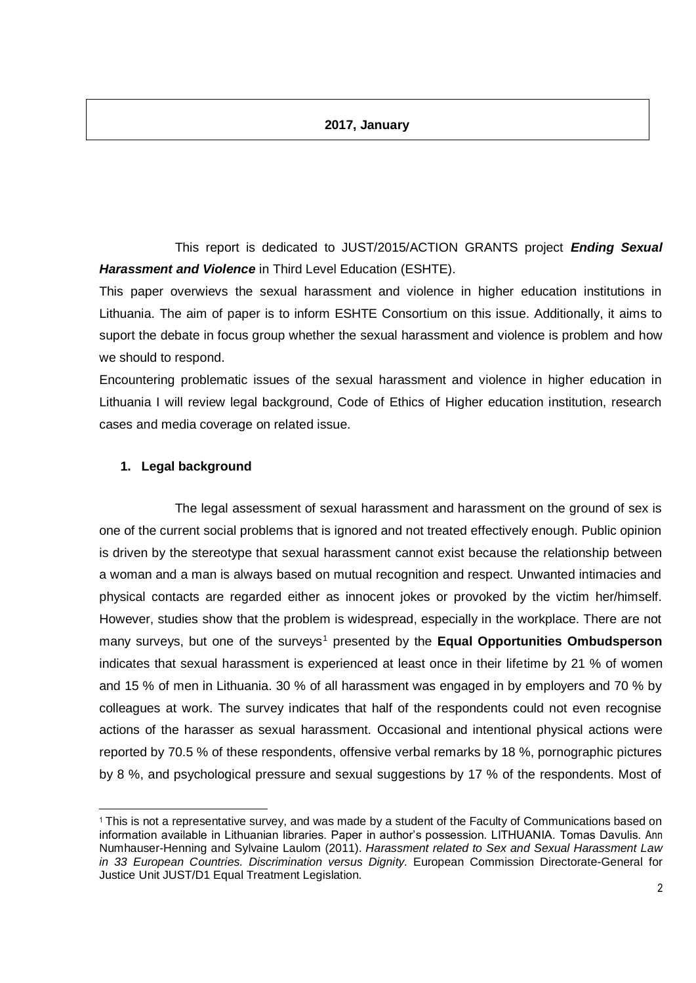#### **2017, January**

This report is dedicated to JUST/2015/ACTION GRANTS project *Ending Sexual Harassment and Violence* in Third Level Education (ESHTE).

This paper overwievs the sexual harassment and violence in higher education institutions in Lithuania. The aim of paper is to inform ESHTE Consortium on this issue. Additionally, it aims to suport the debate in focus group whether the sexual harassment and violence is problem and how we should to respond.

Encountering problematic issues of the sexual harassment and violence in higher education in Lithuania I will review legal background, Code of Ethics of Higher education institution, research cases and media coverage on related issue.

#### **1. Legal background**

1

The legal assessment of sexual harassment and harassment on the ground of sex is one of the current social problems that is ignored and not treated effectively enough. Public opinion is driven by the stereotype that sexual harassment cannot exist because the relationship between a woman and a man is always based on mutual recognition and respect. Unwanted intimacies and physical contacts are regarded either as innocent jokes or provoked by the victim her/himself. However, studies show that the problem is widespread, especially in the workplace. There are not many surveys, but one of the surveys<sup>1</sup> presented by the **Equal Opportunities Ombudsperson** indicates that sexual harassment is experienced at least once in their lifetime by 21 % of women and 15 % of men in Lithuania. 30 % of all harassment was engaged in by employers and 70 % by colleagues at work. The survey indicates that half of the respondents could not even recognise actions of the harasser as sexual harassment. Occasional and intentional physical actions were reported by 70.5 % of these respondents, offensive verbal remarks by 18 %, pornographic pictures by 8 %, and psychological pressure and sexual suggestions by 17 % of the respondents. Most of

<sup>1</sup> This is not a representative survey, and was made by a student of the Faculty of Communications based on information available in Lithuanian libraries. Paper in author's possession. LITHUANIA. Tomas Davulis. Ann Numhauser-Henning and Sylvaine Laulom (2011). *Harassment related to Sex and Sexual Harassment Law in 33 European Countries. Discrimination versus Dignity.* European Commission Directorate-General for Justice Unit JUST/D1 Equal Treatment Legislation.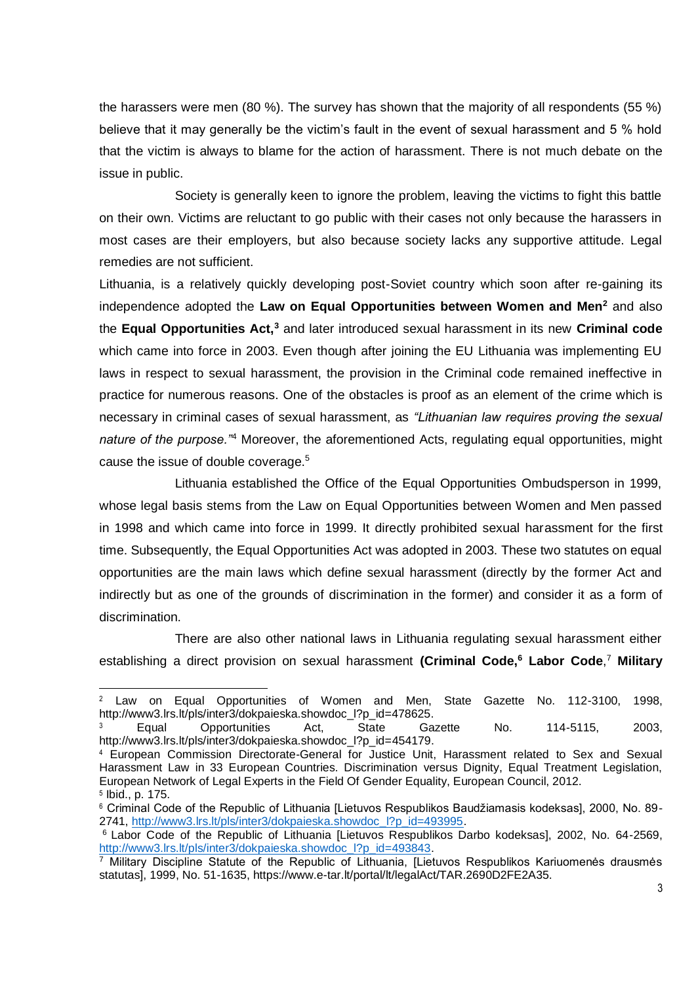the harassers were men (80 %). The survey has shown that the majority of all respondents (55 %) believe that it may generally be the victim's fault in the event of sexual harassment and 5 % hold that the victim is always to blame for the action of harassment. There is not much debate on the issue in public.

Society is generally keen to ignore the problem, leaving the victims to fight this battle on their own. Victims are reluctant to go public with their cases not only because the harassers in most cases are their employers, but also because society lacks any supportive attitude. Legal remedies are not sufficient.

Lithuania, is a relatively quickly developing post-Soviet country which soon after re-gaining its independence adopted the **Law on Equal Opportunities between Women and Men<sup>2</sup>** and also the **Equal Opportunities Act,<sup>3</sup>** and later introduced sexual harassment in its new **Criminal code** which came into force in 2003. Even though after joining the EU Lithuania was implementing EU laws in respect to sexual harassment, the provision in the Criminal code remained ineffective in practice for numerous reasons. One of the obstacles is proof as an element of the crime which is necessary in criminal cases of sexual harassment, as *"Lithuanian law requires proving the sexual nature of the purpose."*<sup>4</sup> Moreover, the aforementioned Acts, regulating equal opportunities, might cause the issue of double coverage.<sup>5</sup>

Lithuania established the Office of the Equal Opportunities Ombudsperson in 1999, whose legal basis stems from the Law on Equal Opportunities between Women and Men passed in 1998 and which came into force in 1999. It directly prohibited sexual harassment for the first time. Subsequently, the Equal Opportunities Act was adopted in 2003. These two statutes on equal opportunities are the main laws which define sexual harassment (directly by the former Act and indirectly but as one of the grounds of discrimination in the former) and consider it as a form of discrimination.

There are also other national laws in Lithuania regulating sexual harassment either establishing a direct provision on sexual harassment **(Criminal Code,<sup>6</sup> Labor Code**, <sup>7</sup> **Military** 

.

<sup>2</sup> Law on Equal Opportunities of Women and Men, State Gazette No. 112-3100, 1998, http://www3.lrs.lt/pls/inter3/dokpaieska.showdoc\_l?p\_id=478625. <sup>3</sup> Equal Opportunities Act, State Gazette No. 114-5115, 2003,

http://www3.lrs.lt/pls/inter3/dokpaieska.showdoc\_l?p\_id=454179.

<sup>4</sup> European Commission Directorate-General for Justice Unit, Harassment related to Sex and Sexual Harassment Law in 33 European Countries. Discrimination versus Dignity, Equal Treatment Legislation, European Network of Legal Experts in the Field Of Gender Equality, European Council, 2012. 5 Ibid., p. 175.

<sup>6</sup> Criminal Code of the Republic of Lithuania [Lietuvos Respublikos Baudžiamasis kodeksas], 2000, No. 89- 2741, [http://www3.lrs.lt/pls/inter3/dokpaieska.showdoc\\_l?p\\_id=493995.](http://www3.lrs.lt/pls/inter3/dokpaieska.showdoc_l?p_id=493995)

<sup>&</sup>lt;sup>6</sup> Labor Code of the Republic of Lithuania [Lietuvos Respublikos Darbo kodeksas], 2002, No. 64-2569, [http://www3.lrs.lt/pls/inter3/dokpaieska.showdoc\\_l?p\\_id=493843.](http://www3.lrs.lt/pls/inter3/dokpaieska.showdoc_l?p_id=493843)

 $\overline{7}$  Military Discipline Statute of the Republic of Lithuania. [Lietuvos Respublikos Kariuomenės drausmės statutas], 1999, No. 51-1635, https://www.e-tar.lt/portal/lt/legalAct/TAR.2690D2FE2A35.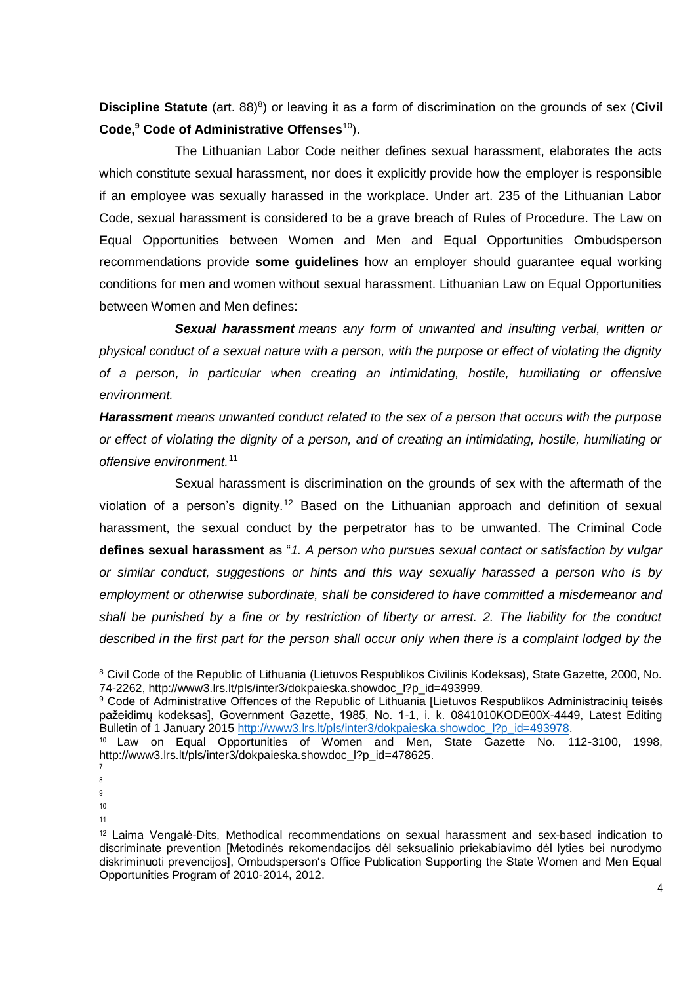Discipline Statute (art. 88)<sup>8</sup>) or leaving it as a form of discrimination on the grounds of sex (Civil **Code,<sup>9</sup> Code of Administrative Offenses**<sup>10</sup>).

The Lithuanian Labor Code neither defines sexual harassment, elaborates the acts which constitute sexual harassment, nor does it explicitly provide how the employer is responsible if an employee was sexually harassed in the workplace. Under art. 235 of the Lithuanian Labor Code, sexual harassment is considered to be a grave breach of Rules of Procedure. The Law on Equal Opportunities between Women and Men and Equal Opportunities Ombudsperson recommendations provide **some guidelines** how an employer should guarantee equal working conditions for men and women without sexual harassment. Lithuanian Law on Equal Opportunities between Women and Men defines:

*Sexual harassment means any form of unwanted and insulting verbal, written or physical conduct of a sexual nature with a person, with the purpose or effect of violating the dignity of a person, in particular when creating an intimidating, hostile, humiliating or offensive environment.*

*Harassment means unwanted conduct related to the sex of a person that occurs with the purpose or effect of violating the dignity of a person, and of creating an intimidating, hostile, humiliating or offensive environment.*<sup>11</sup>

Sexual harassment is discrimination on the grounds of sex with the aftermath of the violation of a person's dignity.<sup>12</sup> Based on the Lithuanian approach and definition of sexual harassment, the sexual conduct by the perpetrator has to be unwanted. The Criminal Code **defines sexual harassment** as "*1. A person who pursues sexual contact or satisfaction by vulgar or similar conduct, suggestions or hints and this way sexually harassed a person who is by employment or otherwise subordinate, shall be considered to have committed a misdemeanor and shall be punished by a fine or by restriction of liberty or arrest. 2. The liability for the conduct*  described in the first part for the person shall occur only when there is a complaint lodged by the

1

- 10
- 11

<sup>8</sup> Civil Code of the Republic of Lithuania (Lietuvos Respublikos Civilinis Kodeksas), State Gazette, 2000, No. 74-2262, http://www3.lrs.lt/pls/inter3/dokpaieska.showdoc\_l?p\_id=493999.

<sup>9</sup> Code of Administrative Offences of the Republic of Lithuania [Lietuvos Respublikos Administracinių teisės pažeidimų kodeksas], Government Gazette, 1985, No. 1-1, i. k. 0841010KODE00X-4449, Latest Editing Bulletin of 1 January 2015 [http://www3.lrs.lt/pls/inter3/dokpaieska.showdoc\\_l?p\\_id=493978.](http://www3.lrs.lt/pls/inter3/dokpaieska.showdoc_l?p_id=493978)<br><sup>10</sup> Law on Equal Opportunities of Women and Men, State Gazette No. 112-3100, 1998,

<sup>&</sup>lt;sup>10</sup> Law on Equal Opportunities of Women and Men, http://www3.lrs.lt/pls/inter3/dokpaieska.showdoc\_l?p\_id=478625.

<sup>7</sup> 8

<sup>9</sup>

 $12$  Laima Vengalė-Dits, Methodical recommendations on sexual harassment and sex-based indication to discriminate prevention [Metodinės rekomendacijos dėl seksualinio priekabiavimo dėl lyties bei nurodymo diskriminuoti prevencijos], Ombudsperson's Office Publication Supporting the State Women and Men Equal Opportunities Program of 2010-2014, 2012.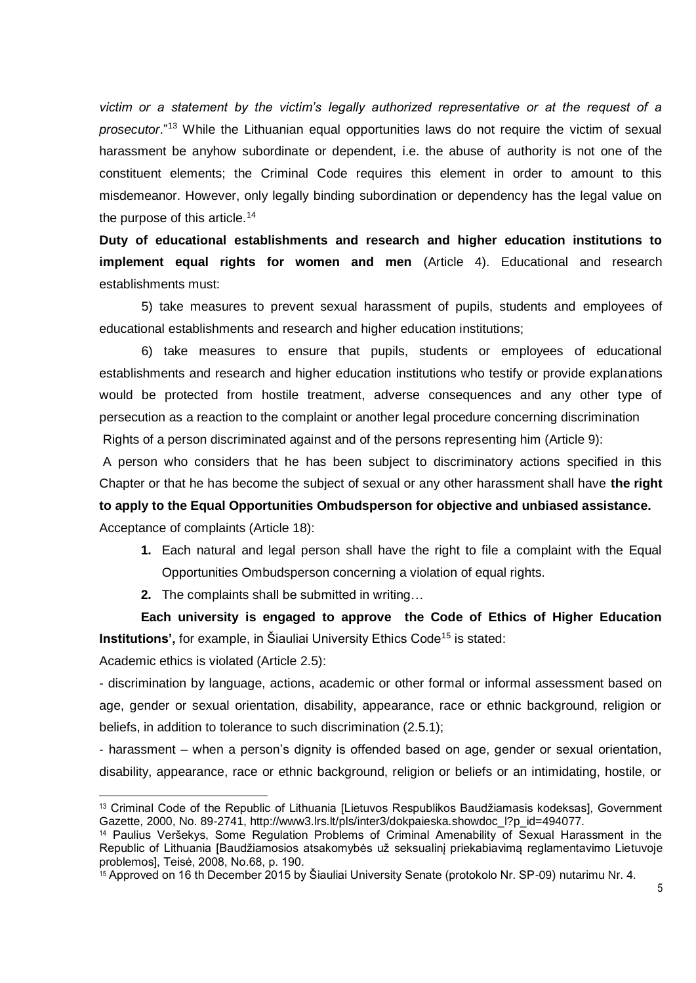*victim or a statement by the victim's legally authorized representative or at the request of a prosecutor*."<sup>13</sup> While the Lithuanian equal opportunities laws do not require the victim of sexual harassment be anyhow subordinate or dependent, i.e. the abuse of authority is not one of the constituent elements; the Criminal Code requires this element in order to amount to this misdemeanor. However, only legally binding subordination or dependency has the legal value on the purpose of this article.<sup>14</sup>

**Duty of educational establishments and research and higher education institutions to implement equal rights for women and men** (Article 4). Educational and research establishments must:

5) take measures to prevent sexual harassment of pupils, students and employees of educational establishments and research and higher education institutions;

6) take measures to ensure that pupils, students or employees of educational establishments and research and higher education institutions who testify or provide explanations would be protected from hostile treatment, adverse consequences and any other type of persecution as a reaction to the complaint or another legal procedure concerning discrimination Rights of a person discriminated against and of the persons representing him (Article 9):

A person who considers that he has been subject to discriminatory actions specified in this Chapter or that he has become the subject of sexual or any other harassment shall have **the right to apply to the Equal Opportunities Ombudsperson for objective and unbiased assistance.** Acceptance of complaints (Article 18):

- **1.** Each natural and legal person shall have the right to file a complaint with the Equal Opportunities Ombudsperson concerning a violation of equal rights.
- **2.** The complaints shall be submitted in writing…

**Each university is engaged to approve the Code of Ethics of Higher Education Institutions',** for example, in Šiauliai University Ethics Code<sup>15</sup> is stated:

Academic ethics is violated (Article 2.5):

1

- discrimination by language, actions, academic or other formal or informal assessment based on age, gender or sexual orientation, disability, appearance, race or ethnic background, religion or beliefs, in addition to tolerance to such discrimination (2.5.1);

- harassment – when a person's dignity is offended based on age, gender or sexual orientation, disability, appearance, race or ethnic background, religion or beliefs or an intimidating, hostile, or

<sup>13</sup> Criminal Code of the Republic of Lithuania [Lietuvos Respublikos Baudžiamasis kodeksas], Government Gazette, 2000, No. 89-2741, http://www3.lrs.lt/pls/inter3/dokpaieska.showdoc\_l?p\_id=494077.

<sup>14</sup> Paulius Veršekys, Some Regulation Problems of Criminal Amenability of Sexual Harassment in the Republic of Lithuania [Baudžiamosios atsakomybės už seksualinį priekabiavimą reglamentavimo Lietuvoje problemos], Teisė, 2008, No.68, p. 190.

<sup>15</sup> Approved on 16 th December 2015 by Šiauliai University Senate (protokolo Nr. SP-09) nutarimu Nr. 4.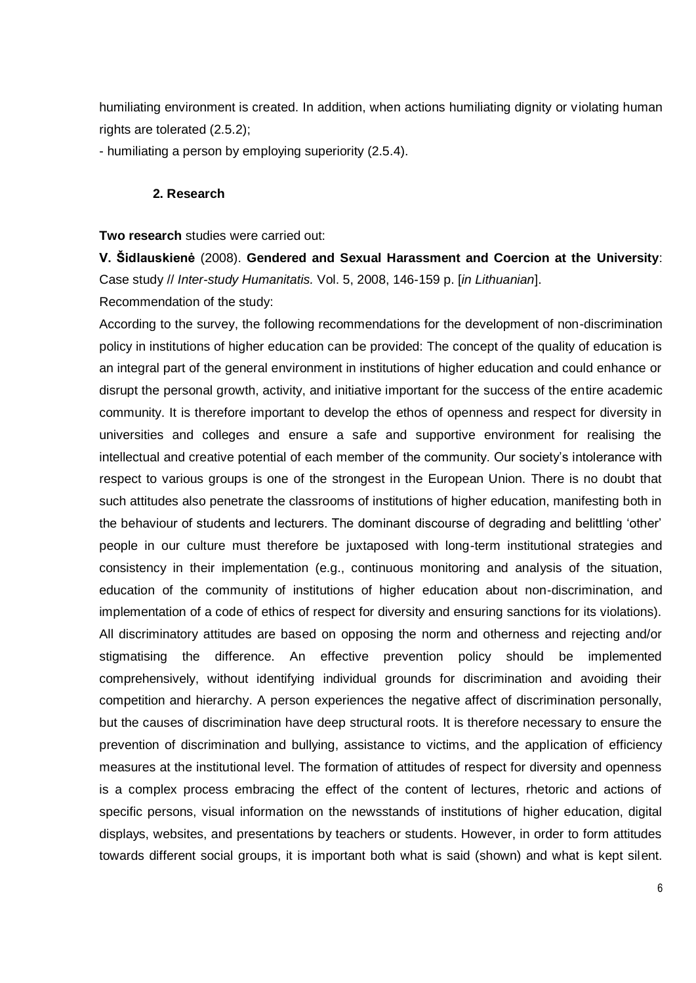humiliating environment is created. In addition, when actions humiliating dignity or violating human rights are tolerated (2.5.2);

- humiliating a person by employing superiority (2.5.4).

#### **2. Research**

**Two research** studies were carried out:

**V. Šidlauskienė** (2008). **Gendered and Sexual Harassment and Coercion at the University**: Case study // *Inter-study Humanitatis.* Vol. 5, 2008, 146-159 p. [*in Lithuanian*].

Recommendation of the study:

According to the survey, the following recommendations for the development of non-discrimination policy in institutions of higher education can be provided: The concept of the quality of education is an integral part of the general environment in institutions of higher education and could enhance or disrupt the personal growth, activity, and initiative important for the success of the entire academic community. It is therefore important to develop the ethos of openness and respect for diversity in universities and colleges and ensure a safe and supportive environment for realising the intellectual and creative potential of each member of the community. Our society's intolerance with respect to various groups is one of the strongest in the European Union. There is no doubt that such attitudes also penetrate the classrooms of institutions of higher education, manifesting both in the behaviour of students and lecturers. The dominant discourse of degrading and belittling 'other' people in our culture must therefore be juxtaposed with long-term institutional strategies and consistency in their implementation (e.g., continuous monitoring and analysis of the situation, education of the community of institutions of higher education about non-discrimination, and implementation of a code of ethics of respect for diversity and ensuring sanctions for its violations). All discriminatory attitudes are based on opposing the norm and otherness and rejecting and/or stigmatising the difference. An effective prevention policy should be implemented comprehensively, without identifying individual grounds for discrimination and avoiding their competition and hierarchy. A person experiences the negative affect of discrimination personally, but the causes of discrimination have deep structural roots. It is therefore necessary to ensure the prevention of discrimination and bullying, assistance to victims, and the application of efficiency measures at the institutional level. The formation of attitudes of respect for diversity and openness is a complex process embracing the effect of the content of lectures, rhetoric and actions of specific persons, visual information on the newsstands of institutions of higher education, digital displays, websites, and presentations by teachers or students. However, in order to form attitudes towards different social groups, it is important both what is said (shown) and what is kept silent.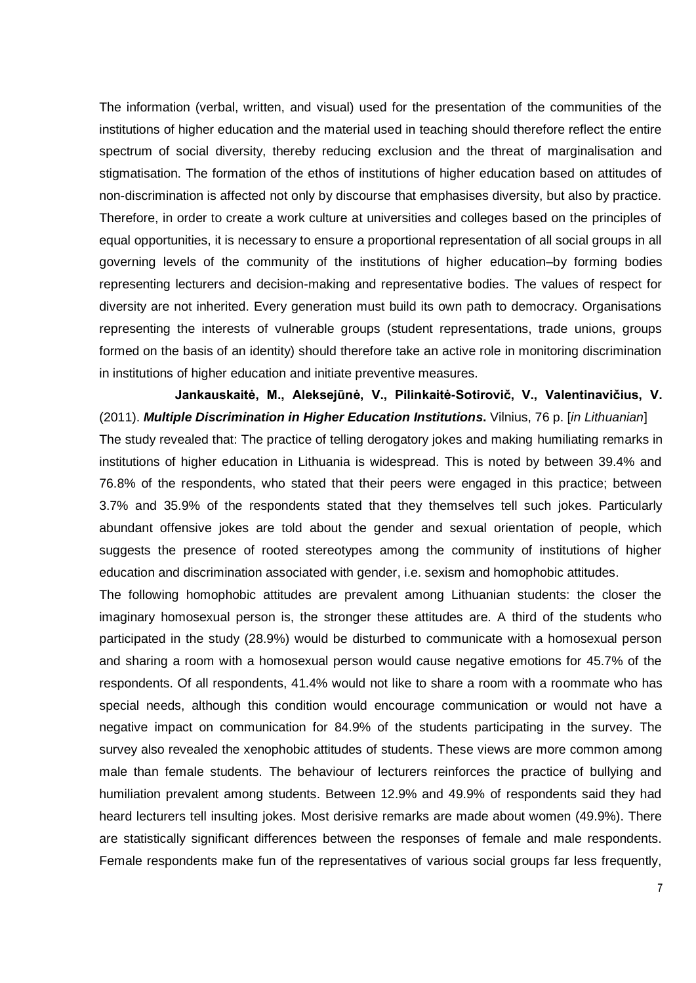The information (verbal, written, and visual) used for the presentation of the communities of the institutions of higher education and the material used in teaching should therefore reflect the entire spectrum of social diversity, thereby reducing exclusion and the threat of marginalisation and stigmatisation. The formation of the ethos of institutions of higher education based on attitudes of non-discrimination is affected not only by discourse that emphasises diversity, but also by practice. Therefore, in order to create a work culture at universities and colleges based on the principles of equal opportunities, it is necessary to ensure a proportional representation of all social groups in all governing levels of the community of the institutions of higher education–by forming bodies representing lecturers and decision-making and representative bodies. The values of respect for diversity are not inherited. Every generation must build its own path to democracy. Organisations representing the interests of vulnerable groups (student representations, trade unions, groups formed on the basis of an identity) should therefore take an active role in monitoring discrimination in institutions of higher education and initiate preventive measures.

**Jankauskaitė, M., Aleksejūnė, V., Pilinkaitė-Sotirovič, V., Valentinavičius, V.** (2011). *Multiple Discrimination in Higher Education Institutions***.** Vilnius, 76 p. [*in Lithuanian*] The study revealed that: The practice of telling derogatory jokes and making humiliating remarks in institutions of higher education in Lithuania is widespread. This is noted by between 39.4% and 76.8% of the respondents, who stated that their peers were engaged in this practice; between 3.7% and 35.9% of the respondents stated that they themselves tell such jokes. Particularly abundant offensive jokes are told about the gender and sexual orientation of people, which suggests the presence of rooted stereotypes among the community of institutions of higher education and discrimination associated with gender, i.e. sexism and homophobic attitudes.

The following homophobic attitudes are prevalent among Lithuanian students: the closer the imaginary homosexual person is, the stronger these attitudes are. A third of the students who participated in the study (28.9%) would be disturbed to communicate with a homosexual person and sharing a room with a homosexual person would cause negative emotions for 45.7% of the respondents. Of all respondents, 41.4% would not like to share a room with a roommate who has special needs, although this condition would encourage communication or would not have a negative impact on communication for 84.9% of the students participating in the survey. The survey also revealed the xenophobic attitudes of students. These views are more common among male than female students. The behaviour of lecturers reinforces the practice of bullying and humiliation prevalent among students. Between 12.9% and 49.9% of respondents said they had heard lecturers tell insulting jokes. Most derisive remarks are made about women (49.9%). There are statistically significant differences between the responses of female and male respondents. Female respondents make fun of the representatives of various social groups far less frequently,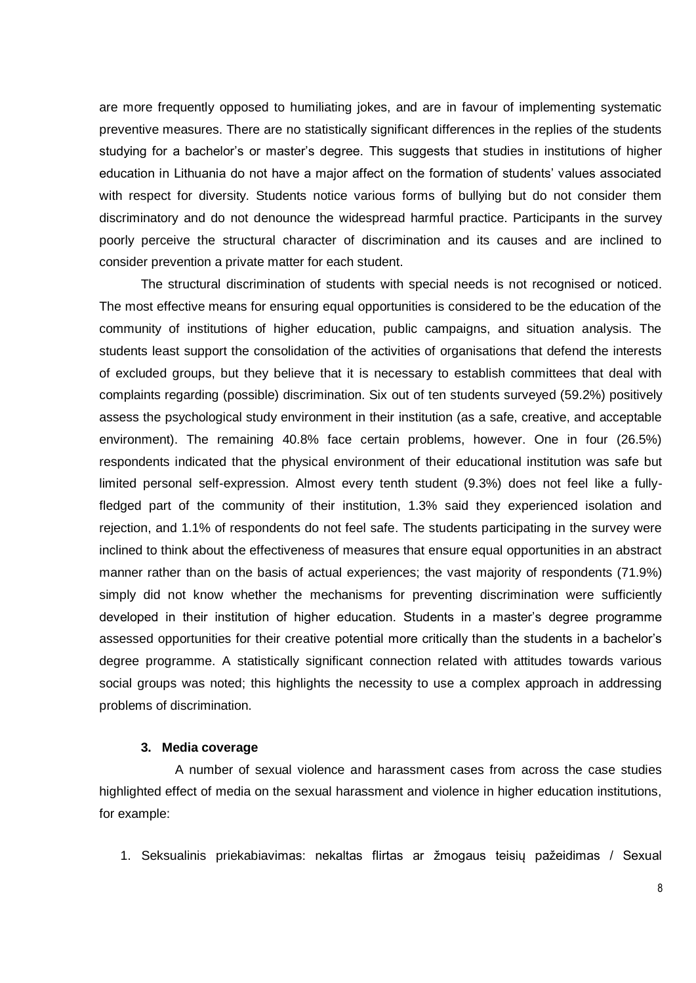are more frequently opposed to humiliating jokes, and are in favour of implementing systematic preventive measures. There are no statistically significant differences in the replies of the students studying for a bachelor's or master's degree. This suggests that studies in institutions of higher education in Lithuania do not have a major affect on the formation of students' values associated with respect for diversity. Students notice various forms of bullying but do not consider them discriminatory and do not denounce the widespread harmful practice. Participants in the survey poorly perceive the structural character of discrimination and its causes and are inclined to consider prevention a private matter for each student.

The structural discrimination of students with special needs is not recognised or noticed. The most effective means for ensuring equal opportunities is considered to be the education of the community of institutions of higher education, public campaigns, and situation analysis. The students least support the consolidation of the activities of organisations that defend the interests of excluded groups, but they believe that it is necessary to establish committees that deal with complaints regarding (possible) discrimination. Six out of ten students surveyed (59.2%) positively assess the psychological study environment in their institution (as a safe, creative, and acceptable environment). The remaining 40.8% face certain problems, however. One in four (26.5%) respondents indicated that the physical environment of their educational institution was safe but limited personal self-expression. Almost every tenth student (9.3%) does not feel like a fullyfledged part of the community of their institution, 1.3% said they experienced isolation and rejection, and 1.1% of respondents do not feel safe. The students participating in the survey were inclined to think about the effectiveness of measures that ensure equal opportunities in an abstract manner rather than on the basis of actual experiences; the vast majority of respondents (71.9%) simply did not know whether the mechanisms for preventing discrimination were sufficiently developed in their institution of higher education. Students in a master's degree programme assessed opportunities for their creative potential more critically than the students in a bachelor's degree programme. A statistically significant connection related with attitudes towards various social groups was noted; this highlights the necessity to use a complex approach in addressing problems of discrimination.

#### **3. Media coverage**

A number of sexual violence and harassment cases from across the case studies highlighted effect of media on the sexual harassment and violence in higher education institutions, for example:

1. Seksualinis priekabiavimas: nekaltas flirtas ar žmogaus teisių pažeidimas / Sexual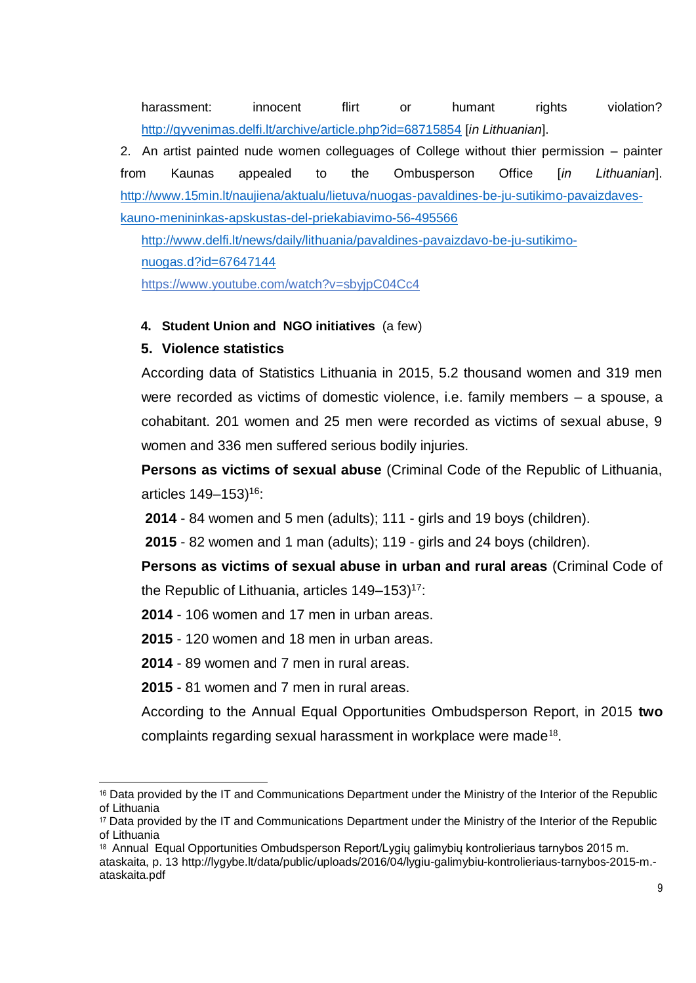harassment: innocent flirt or humant rights violation? <http://gyvenimas.delfi.lt/archive/article.php?id=68715854> [*in Lithuanian*].

2. An artist painted nude women colleguages of College without thier permission – painter from Kaunas appealed to the Ombusperson Office [*in Lithuanian*]. [http://www.15min.lt/naujiena/aktualu/lietuva/nuogas-pavaldines-be-ju-sutikimo-pavaizdaves](http://www.15min.lt/naujiena/aktualu/lietuva/nuogas-pavaldines-be-ju-sutikimo-pavaizdaves-kauno-menininkas-apskustas-del-priekabiavimo-56-495566)[kauno-menininkas-apskustas-del-priekabiavimo-56-495566](http://www.15min.lt/naujiena/aktualu/lietuva/nuogas-pavaldines-be-ju-sutikimo-pavaizdaves-kauno-menininkas-apskustas-del-priekabiavimo-56-495566)

[http://www.delfi.lt/news/daily/lithuania/pavaldines-pavaizdavo-be-ju-sutikimo](http://www.delfi.lt/news/daily/lithuania/pavaldines-pavaizdavo-be-ju-sutikimo-nuogas.d?id=67647144)[nuogas.d?id=67647144](http://www.delfi.lt/news/daily/lithuania/pavaldines-pavaizdavo-be-ju-sutikimo-nuogas.d?id=67647144)

<https://www.youtube.com/watch?v=sbyjpC04Cc4>

### **4. Student Union and NGO initiatives** (a few)

## **5. Violence statistics**

According data of Statistics Lithuania in 2015, 5.2 thousand women and 319 men were recorded as victims of domestic violence, i.e. family members – a spouse, a cohabitant. 201 women and 25 men were recorded as victims of sexual abuse, 9 women and 336 men suffered serious bodily injuries.

**Persons as victims of sexual abuse** (Criminal Code of the Republic of Lithuania, articles 149–153)<sup>16</sup>:

**2014** - 84 women and 5 men (adults); 111 - girls and 19 boys (children).

**2015** - 82 women and 1 man (adults); 119 - girls and 24 boys (children).

**Persons as victims of sexual abuse in urban and rural areas** (Criminal Code of the Republic of Lithuania, articles  $149-153$ <sup>17</sup>:

**2014** - 106 women and 17 men in urban areas.

**2015** - 120 women and 18 men in urban areas.

**2014** - 89 women and 7 men in rural areas.

**2015** - 81 women and 7 men in rural areas.

.

According to the Annual Equal Opportunities Ombudsperson Report, in 2015 **two** complaints regarding sexual harassment in workplace were made<sup>18</sup>.

[ataskaita, p. 13 h](http://lygybe.lt/data/public/uploads/2016/04/lygiu-galimybiu-kontrolieriaus-tarnybos-2015-m.-ataskaita.pdf)ttp://lygybe.lt/data/public/uploads/2016/04/lygiu-galimybiu-kontrolieriaus-tarnybos-2015-m. ataskaita.pdf

<sup>16</sup> Data provided by the IT and Communications Department under the Ministry of the Interior of the Republic of Lithuania

<sup>17</sup> Data provided by the IT and Communications Department under the Ministry of the Interior of the Republic of Lithuania

<sup>&</sup>lt;sup>18</sup> Annual Equal Opportunities Ombudsperson Report/Lygių galimybių kontrolieriaus tarnybos 2015 m.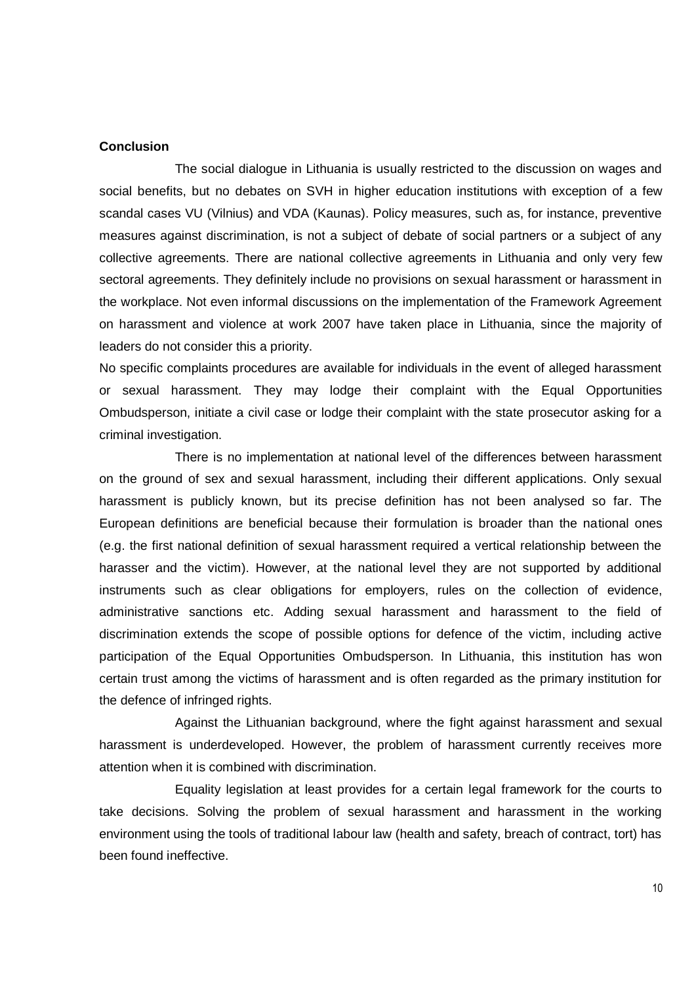#### **Conclusion**

The social dialogue in Lithuania is usually restricted to the discussion on wages and social benefits, but no debates on SVH in higher education institutions with exception of a few scandal cases VU (Vilnius) and VDA (Kaunas). Policy measures, such as, for instance, preventive measures against discrimination, is not a subject of debate of social partners or a subject of any collective agreements. There are national collective agreements in Lithuania and only very few sectoral agreements. They definitely include no provisions on sexual harassment or harassment in the workplace. Not even informal discussions on the implementation of the Framework Agreement on harassment and violence at work 2007 have taken place in Lithuania, since the majority of leaders do not consider this a priority.

No specific complaints procedures are available for individuals in the event of alleged harassment or sexual harassment. They may lodge their complaint with the Equal Opportunities Ombudsperson, initiate a civil case or lodge their complaint with the state prosecutor asking for a criminal investigation.

There is no implementation at national level of the differences between harassment on the ground of sex and sexual harassment, including their different applications. Only sexual harassment is publicly known, but its precise definition has not been analysed so far. The European definitions are beneficial because their formulation is broader than the national ones (e.g. the first national definition of sexual harassment required a vertical relationship between the harasser and the victim). However, at the national level they are not supported by additional instruments such as clear obligations for employers, rules on the collection of evidence, administrative sanctions etc. Adding sexual harassment and harassment to the field of discrimination extends the scope of possible options for defence of the victim, including active participation of the Equal Opportunities Ombudsperson. In Lithuania, this institution has won certain trust among the victims of harassment and is often regarded as the primary institution for the defence of infringed rights.

Against the Lithuanian background, where the fight against harassment and sexual harassment is underdeveloped. However, the problem of harassment currently receives more attention when it is combined with discrimination.

Equality legislation at least provides for a certain legal framework for the courts to take decisions. Solving the problem of sexual harassment and harassment in the working environment using the tools of traditional labour law (health and safety, breach of contract, tort) has been found ineffective.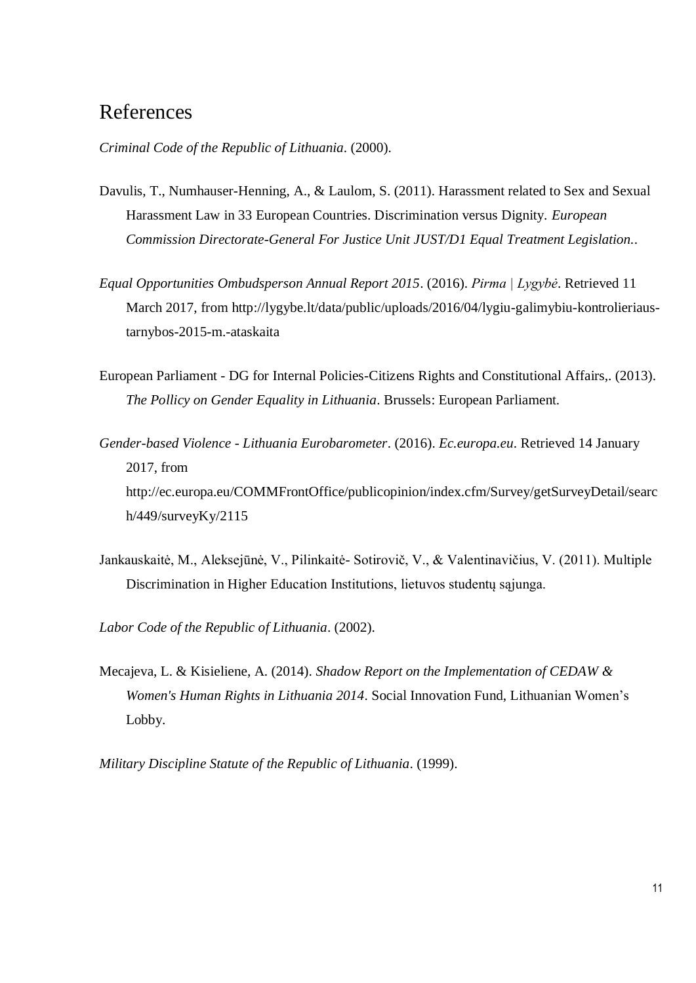## References

*Criminal Code of the Republic of Lithuania*. (2000).

- Davulis, T., Numhauser-Henning, A., & Laulom, S. (2011). Harassment related to Sex and Sexual Harassment Law in 33 European Countries. Discrimination versus Dignity. *European Commission Directorate-General For Justice Unit JUST/D1 Equal Treatment Legislation.*.
- *Equal Opportunities Ombudsperson Annual Report 2015*. (2016). *Pirma | Lygybė*. Retrieved 11 March 2017, from http://lygybe.lt/data/public/uploads/2016/04/lygiu-galimybiu-kontrolieriaustarnybos-2015-m.-ataskaita
- European Parliament DG for Internal Policies-Citizens Rights and Constitutional Affairs,. (2013). *The Pollicy on Gender Equality in Lithuania*. Brussels: European Parliament.
- *Gender-based Violence - Lithuania Eurobarometer*. (2016). *Ec.europa.eu*. Retrieved 14 January 2017, from http://ec.europa.eu/COMMFrontOffice/publicopinion/index.cfm/Survey/getSurveyDetail/searc h/449/surveyKy/2115
- Jankauskaitė, M., Aleksejūnė, V., Pilinkaitė- Sotirovič, V., & Valentinavičius, V. (2011). Multiple Discrimination in Higher Education Institutions, lietuvos studentų sąjunga.
- *Labor Code of the Republic of Lithuania*. (2002).
- Mecajeva, L. & Kisieliene, A. (2014). *Shadow Report on the Implementation of CEDAW & Women's Human Rights in Lithuania 2014*. Social Innovation Fund, Lithuanian Women's Lobby.

*Military Discipline Statute of the Republic of Lithuania*. (1999).